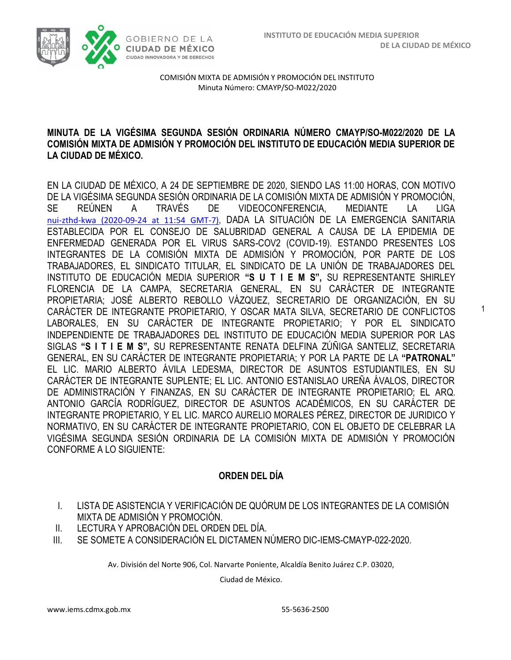1



COMISIÓN MIXTA DE ADMISIÓN Y PROMOCIÓN DEL INSTITUTO Minuta Número: CMAYP/SO-M022/2020

### **MINUTA DE LA VIGÉSIMA SEGUNDA SESIÓN ORDINARIA NÚMERO CMAYP/SO-M022/2020 DE LA COMISIÓN MIXTA DE ADMISIÓN Y PROMOCIÓN DEL INSTITUTO DE EDUCACIÓN MEDIA SUPERIOR DE LA CIUDAD DE MÉXICO.**

EN LA CIUDAD DE MÉXICO, A 24 DE SEPTIEMBRE DE 2020, SIENDO LAS 11:00 HORAS, CON MOTIVO DE LA VIGÉSIMA SEGUNDA SESIÓN ORDINARIA DE LA COMISIÓN MIXTA DE ADMISIÓN Y PROMOCIÓN, SE REÚNEN A TRAVÉS DE VIDEOCONFERENCIA, MEDIANTE LA LIGA [nui-zthd-kwa \(2020-09-24 at 11:54 GMT-7\)](https://drive.google.com/open?id=16fFPa76bUw57BP_lbYGd_LGWPST0jOdP), DADA LA SITUACIÓN DE LA EMERGENCIA SANITARIA ESTABLECIDA POR EL CONSEJO DE SALUBRIDAD GENERAL A CAUSA DE LA EPIDEMIA DE ENFERMEDAD GENERADA POR EL VIRUS SARS-COV2 (COVID-19). ESTANDO PRESENTES LOS INTEGRANTES DE LA COMISIÓN MIXTA DE ADMISIÓN Y PROMOCIÓN, POR PARTE DE LOS TRABAJADORES, EL SINDICATO TITULAR, EL SINDICATO DE LA UNIÓN DE TRABAJADORES DEL INSTITUTO DE EDUCACIÓN MEDIA SUPERIOR **"S U T I E M S",** SU REPRESENTANTE SHIRLEY FLORENCIA DE LA CAMPA, SECRETARIA GENERAL, EN SU CARÁCTER DE INTEGRANTE PROPIETARIA; JOSÉ ALBERTO REBOLLO VÁZQUEZ, SECRETARIO DE ORGANIZACIÓN, EN SU CARÁCTER DE INTEGRANTE PROPIETARIO, Y OSCAR MATA SILVA, SECRETARIO DE CONFLICTOS LABORALES, EN SU CARÁCTER DE INTEGRANTE PROPIETARIO; Y POR EL SINDICATO INDEPENDIENTE DE TRABAJADORES DEL INSTITUTO DE EDUCACIÓN MEDIA SUPERIOR POR LAS SIGLAS **"S I T I E M S",** SU REPRESENTANTE RENATA DELFINA ZÚÑIGA SANTELIZ, SECRETARIA GENERAL, EN SU CARÁCTER DE INTEGRANTE PROPIETARIA; Y POR LA PARTE DE LA **"PATRONAL"**  EL LIC. MARIO ALBERTO ÁVILA LEDESMA, DIRECTOR DE ASUNTOS ESTUDIANTILES, EN SU CARÁCTER DE INTEGRANTE SUPLENTE; EL LIC. ANTONIO ESTANISLAO UREÑA ÁVALOS, DIRECTOR DE ADMINISTRACIÓN Y FINANZAS, EN SU CARÁCTER DE INTEGRANTE PROPIETARIO; EL ARQ. ANTONIO GARCÍA RODRÍGUEZ, DIRECTOR DE ASUNTOS ACADÉMICOS, EN SU CARÁCTER DE INTEGRANTE PROPIETARIO, Y EL LIC. MARCO AURELIO MORALES PÉREZ, DIRECTOR DE JURIDICO Y NORMATIVO, EN SU CARÁCTER DE INTEGRANTE PROPIETARIO, CON EL OBJETO DE CELEBRAR LA VIGÉSIMA SEGUNDA SESIÓN ORDINARIA DE LA COMISIÓN MIXTA DE ADMISIÓN Y PROMOCIÓN CONFORME A LO SIGUIENTE:

# **ORDEN DEL DÍA**

- I. LISTA DE ASISTENCIA Y VERIFICACIÓN DE QUÓRUM DE LOS INTEGRANTES DE LA COMISIÓN MIXTA DE ADMISIÓN Y PROMOCIÓN.
- II. LECTURA Y APROBACIÓN DEL ORDEN DEL DÍA.
- III. SE SOMETE A CONSIDERACIÓN EL DICTAMEN NÚMERO DIC-IEMS-CMAYP-022-2020.

Av. División del Norte 906, Col. Narvarte Poniente, Alcaldía Benito Juárez C.P. 03020,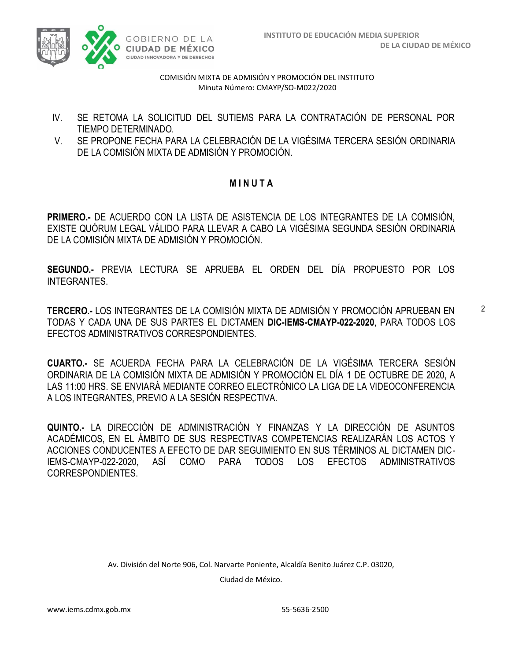

- IV. SE RETOMA LA SOLICITUD DEL SUTIEMS PARA LA CONTRATACIÓN DE PERSONAL POR TIEMPO DETERMINADO.
- V. SE PROPONE FECHA PARA LA CELEBRACIÓN DE LA VIGÉSIMA TERCERA SESIÓN ORDINARIA DE LA COMISIÓN MIXTA DE ADMISIÓN Y PROMOCIÓN.

## **M I N U T A**

**PRIMERO.-** DE ACUERDO CON LA LISTA DE ASISTENCIA DE LOS INTEGRANTES DE LA COMISIÓN, EXISTE QUÓRUM LEGAL VÁLIDO PARA LLEVAR A CABO LA VIGÉSIMA SEGUNDA SESIÓN ORDINARIA DE LA COMISIÓN MIXTA DE ADMISIÓN Y PROMOCIÓN.

**SEGUNDO.-** PREVIA LECTURA SE APRUEBA EL ORDEN DEL DÍA PROPUESTO POR LOS INTEGRANTES.

**TERCERO.-** LOS INTEGRANTES DE LA COMISIÓN MIXTA DE ADMISIÓN Y PROMOCIÓN APRUEBAN EN TODAS Y CADA UNA DE SUS PARTES EL DICTAMEN **DIC-IEMS-CMAYP-022-2020**, PARA TODOS LOS EFECTOS ADMINISTRATIVOS CORRESPONDIENTES.

**CUARTO.-** SE ACUERDA FECHA PARA LA CELEBRACIÓN DE LA VIGÉSIMA TERCERA SESIÓN ORDINARIA DE LA COMISIÓN MIXTA DE ADMISIÓN Y PROMOCIÓN EL DÍA 1 DE OCTUBRE DE 2020, A LAS 11:00 HRS. SE ENVIARÁ MEDIANTE CORREO ELECTRÓNICO LA LIGA DE LA VIDEOCONFERENCIA A LOS INTEGRANTES, PREVIO A LA SESIÓN RESPECTIVA.

**QUINTO.-** LA DIRECCIÓN DE ADMINISTRACIÓN Y FINANZAS Y LA DIRECCIÓN DE ASUNTOS ACADÉMICOS, EN EL ÁMBITO DE SUS RESPECTIVAS COMPETENCIAS REALIZARÁN LOS ACTOS Y ACCIONES CONDUCENTES A EFECTO DE DAR SEGUIMIENTO EN SUS TÉRMINOS AL DICTAMEN DIC-IEMS-CMAYP-022-2020, ASÍ COMO PARA TODOS LOS EFECTOS ADMINISTRATIVOS CORRESPONDIENTES.

Av. División del Norte 906, Col. Narvarte Poniente, Alcaldía Benito Juárez C.P. 03020,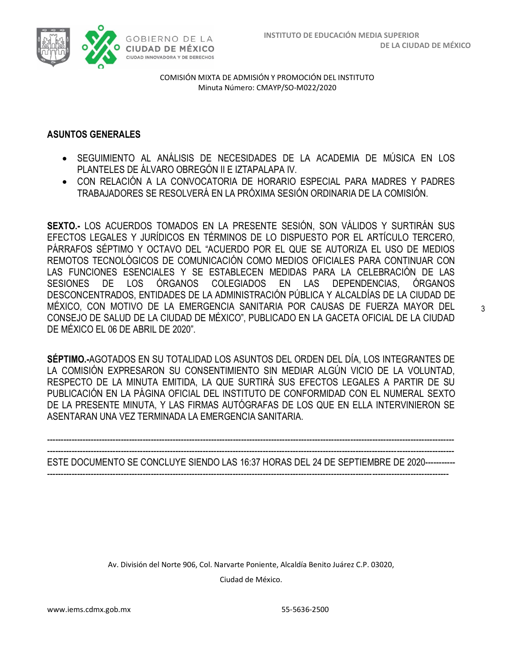

### **ASUNTOS GENERALES**

- SEGUIMIENTO AL ANÁLISIS DE NECESIDADES DE LA ACADEMIA DE MÚSICA EN LOS PLANTELES DE ÁLVARO OBREGÓN II E IZTAPALAPA IV.
- CON RELACIÓN A LA CONVOCATORIA DE HORARIO ESPECIAL PARA MADRES Y PADRES TRABAJADORES SE RESOLVERÁ EN LA PRÓXIMA SESIÓN ORDINARIA DE LA COMISIÓN.

**SEXTO.-** LOS ACUERDOS TOMADOS EN LA PRESENTE SESIÓN, SON VÁLIDOS Y SURTIRÁN SUS EFECTOS LEGALES Y JURÍDICOS EN TÉRMINOS DE LO DISPUESTO POR EL ARTÍCULO TERCERO, PÁRRAFOS SÉPTIMO Y OCTAVO DEL "ACUERDO POR EL QUE SE AUTORIZA EL USO DE MEDIOS REMOTOS TECNOLÓGICOS DE COMUNICACIÓN COMO MEDIOS OFICIALES PARA CONTINUAR CON LAS FUNCIONES ESENCIALES Y SE ESTABLECEN MEDIDAS PARA LA CELEBRACIÓN DE LAS SESIONES DE LOS ÓRGANOS COLEGIADOS EN LAS DEPENDENCIAS, ÓRGANOS DESCONCENTRADOS, ENTIDADES DE LA ADMINISTRACIÓN PÚBLICA Y ALCALDÍAS DE LA CIUDAD DE MÉXICO, CON MOTIVO DE LA EMERGENCIA SANITARIA POR CAUSAS DE FUERZA MAYOR DEL CONSEJO DE SALUD DE LA CIUDAD DE MÉXICO", PUBLICADO EN LA GACETA OFICIAL DE LA CIUDAD DE MÉXICO EL 06 DE ABRIL DE 2020".

**SÉPTIMO.-**AGOTADOS EN SU TOTALIDAD LOS ASUNTOS DEL ORDEN DEL DÍA, LOS INTEGRANTES DE LA COMISIÓN EXPRESARON SU CONSENTIMIENTO SIN MEDIAR ALGÚN VICIO DE LA VOLUNTAD, RESPECTO DE LA MINUTA EMITIDA, LA QUE SURTIRÁ SUS EFECTOS LEGALES A PARTIR DE SU PUBLICACIÓN EN LA PÁGINA OFICIAL DEL INSTITUTO DE CONFORMIDAD CON EL NUMERAL SEXTO DE LA PRESENTE MINUTA, Y LAS FIRMAS AUTÓGRAFAS DE LOS QUE EN ELLA INTERVINIERON SE ASENTARAN UNA VEZ TERMINADA LA EMERGENCIA SANITARIA.

-----------------------------------------------------------------------------------------------------------------------------------------------------

----------------------------------------------------------------------------------------------------------------------------------------------------- ESTE DOCUMENTO SE CONCLUYE SIENDO LAS 16:37 HORAS DEL 24 DE SEPTIEMBRE DE 2020----------- ---------------------------------------------------------------------------------------------------------------------------------------------------

Av. División del Norte 906, Col. Narvarte Poniente, Alcaldía Benito Juárez C.P. 03020,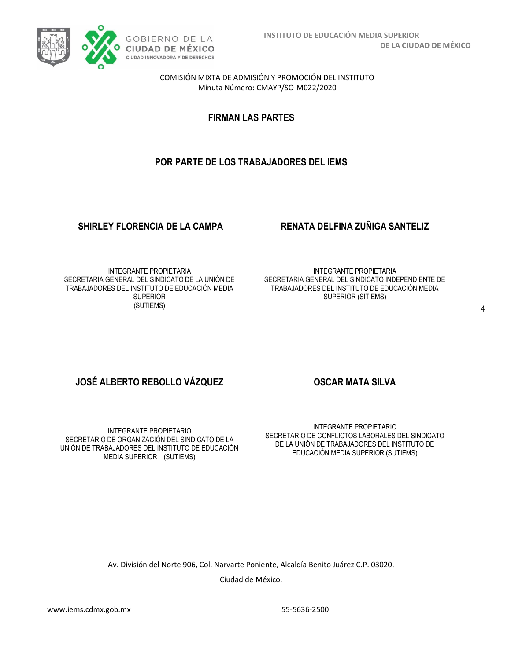

**FIRMAN LAS PARTES**

# **POR PARTE DE LOS TRABAJADORES DEL IEMS**

# **SHIRLEY FLORENCIA DE LA CAMPA RENATA DELFINA ZUÑIGA SANTELIZ**

INTEGRANTE PROPIETARIA SECRETARIA GENERAL DEL SINDICATO DE LA UNIÓN DE TRABAJADORES DEL INSTITUTO DE EDUCACIÓN MEDIA **SUPERIOR** (SUTIEMS)

INTEGRANTE PROPIETARIA SECRETARIA GENERAL DEL SINDICATO INDEPENDIENTE DE TRABAJADORES DEL INSTITUTO DE EDUCACIÓN MEDIA SUPERIOR (SITIEMS)

# **JOSÉ ALBERTO REBOLLO VÁZQUEZ COSCAR MATA SILVA**

INTEGRANTE PROPIETARIO SECRETARIO DE ORGANIZACIÓN DEL SINDICATO DE LA UNIÓN DE TRABAJADORES DEL INSTITUTO DE EDUCACIÓN MEDIA SUPERIOR (SUTIEMS)

INTEGRANTE PROPIETARIO SECRETARIO DE CONFLICTOS LABORALES DEL SINDICATO DE LA UNIÓN DE TRABAJADORES DEL INSTITUTO DE EDUCACIÓN MEDIA SUPERIOR (SUTIEMS)

Av. División del Norte 906, Col. Narvarte Poniente, Alcaldía Benito Juárez C.P. 03020,